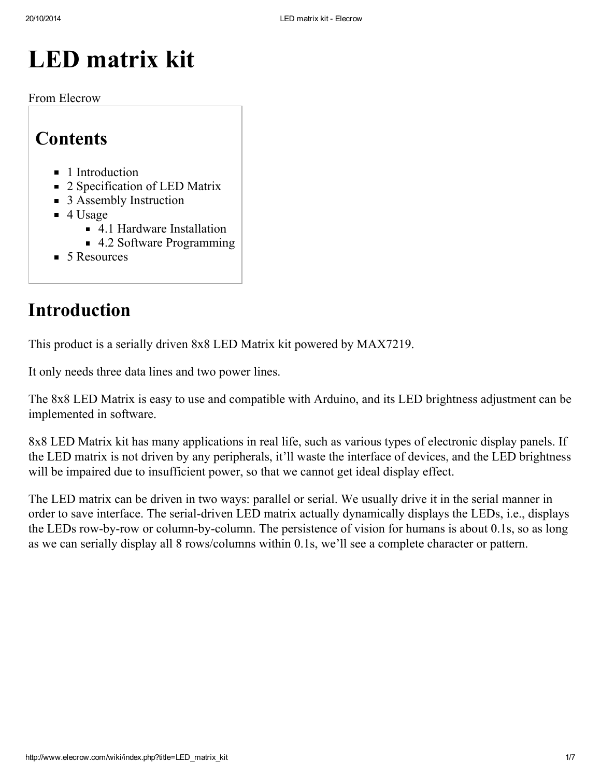# LED matrix kit

From Elecrow

## **Contents**

- **1** [Introduction](#page-0-0)
- 2 [Specification](#page-1-0) of LED Matrix
- 3 Assembly [Instruction](#page-2-0)
- $\blacksquare$  4 [Usage](#page-2-1)
	- 4.1 Hardware [Installation](#page-2-2)
	- 4.2 Software [Programming](#page-4-0)
- 5 Resources

## <span id="page-0-0"></span>Introduction

This product is a serially driven 8x8 LED Matrix kit powered by MAX7219.

It only needs three data lines and two power lines.

The 8x8 LED Matrix is easy to use and compatible with Arduino, and its LED brightness adjustment can be implemented in software.

8x8 LED Matrix kit has many applications in real life, such as various types of electronic display panels. If the LED matrix is not driven by any peripherals, it'll waste the interface of devices, and the LED brightness will be impaired due to insufficient power, so that we cannot get ideal display effect.

The LED matrix can be driven in two ways: parallel or serial. We usually drive it in the serial manner in order to save interface. The serial-driven LED matrix actually dynamically displays the LEDs, i.e., displays the LEDs row-by-row or column-by-column. The persistence of vision for humans is about 0.1s, so as long as we can serially display all 8 rows/columns within 0.1s, we'll see a complete character or pattern.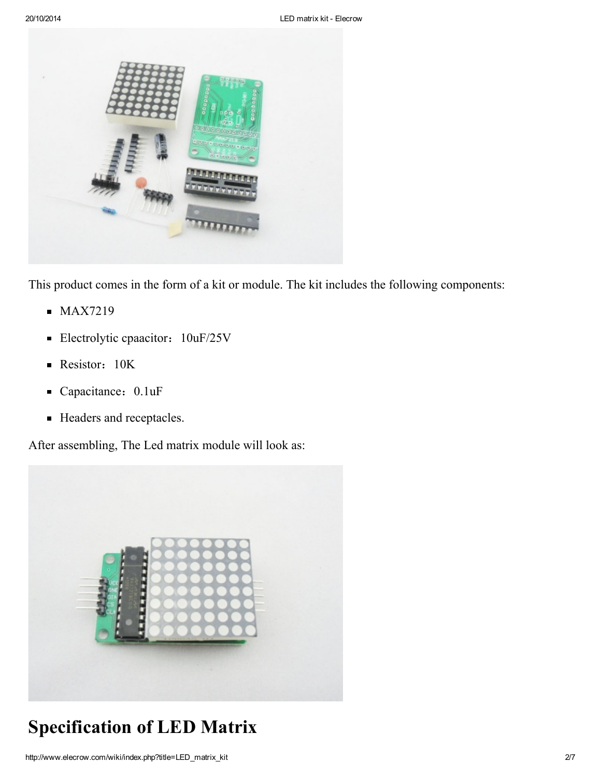

This product comes in the form of a kit or module. The kit includes the following components:

- $MAX7219$
- **Electrolytic cpaacitor:** 10uF/25V
- Resistor: 10K
- Capacitance: 0.1uF
- Headers and receptacles.

After assembling, The Led matrix module will look as:



## <span id="page-1-0"></span>Specification of LED Matrix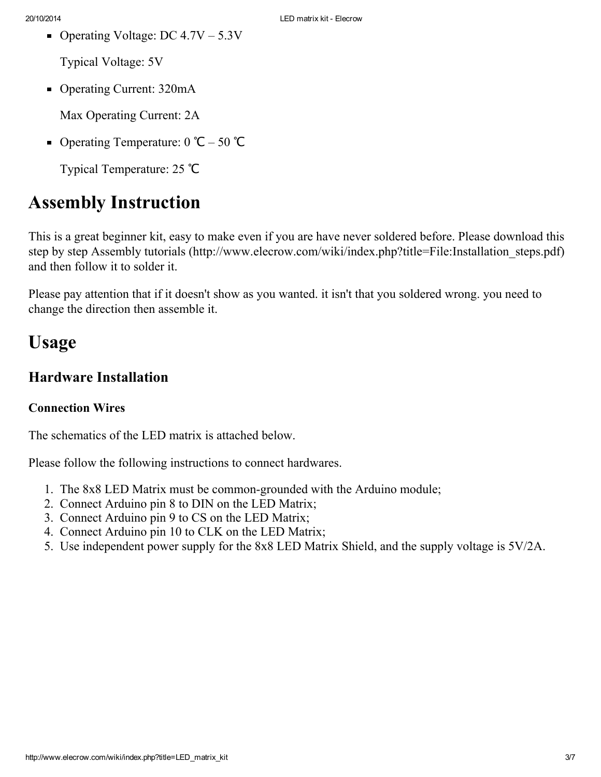Operating Voltage: DC  $4.7V - 5.3V$ 

Typical Voltage: 5V

■ Operating Current: 320mA

Max Operating Current: 2A

■ Operating Temperature:  $0$   $\degree$ C – 50  $\degree$ C

Typical Temperature: 25 ℃

### <span id="page-2-0"></span>Assembly Instruction

This is a great beginner kit, easy to make even if you are have never soldered before. Please download this step by step Assembly tutorials [\(http://www.elecrow.com/wiki/index.php?title=File:Installation\\_steps.pdf\)](http://www.elecrow.com/wiki/index.php?title=File:Installation_steps.pdf) and then follow it to solder it.

Please pay attention that if it doesn't show as you wanted. it isn't that you soldered wrong. you need to change the direction then assemble it.

### <span id="page-2-1"></span>Usage

#### <span id="page-2-2"></span>Hardware Installation

#### Connection Wires

The schematics of the LED matrix is attached below.

Please follow the following instructions to connect hardwares.

- 1. The 8x8 LED Matrix must be common-grounded with the Arduino module;
- 2. Connect Arduino pin 8 to DIN on the LED Matrix;
- 3. Connect Arduino pin 9 to CS on the LED Matrix;
- 4. Connect Arduino pin 10 to CLK on the LED Matrix;
- 5. Use independent power supply for the 8x8 LED Matrix Shield, and the supply voltage is 5V/2A.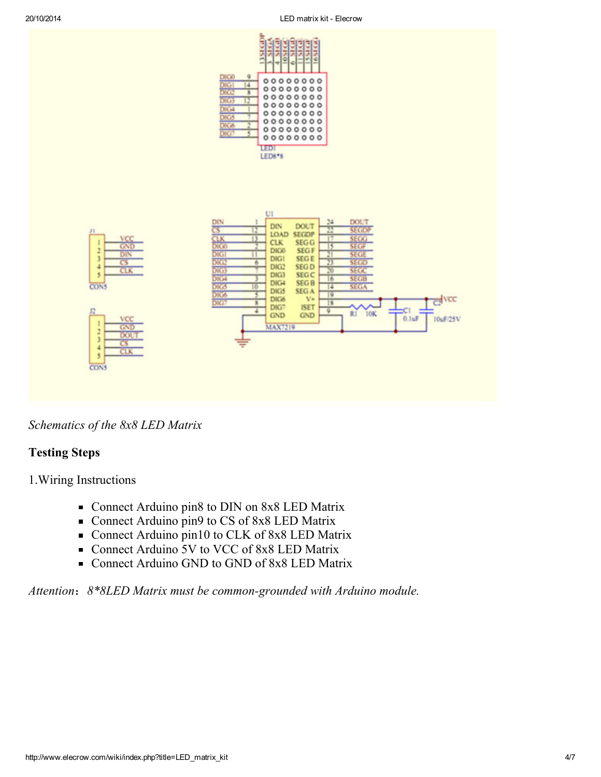

Schematics of the 8x8 LED Matrix

#### Testing Steps

1.Wiring Instructions

- Connect Arduino pin8 to DIN on 8x8 LED Matrix
- Connect Arduino pin9 to CS of 8x8 LED Matrix
- Connect Arduino pin10 to CLK of 8x8 LED Matrix
- Connect Arduino 5V to VCC of 8x8 LED Matrix
- Connect Arduino GND to GND of 8x8 LED Matrix

Attention: 8\*8LED Matrix must be common-grounded with Arduino module.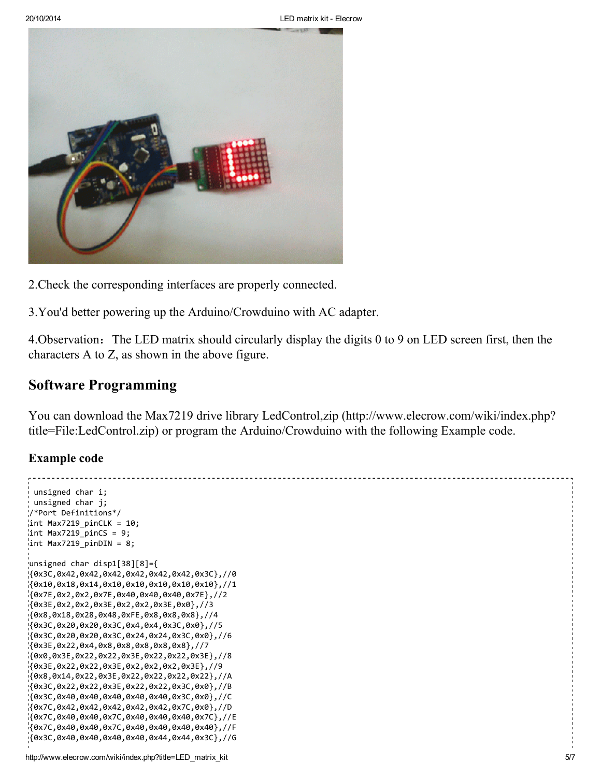

- 2.Check the corresponding interfaces are properly connected.
- 3.You'd better powering up the Arduino/Crowduino with AC adapter.

4.Observation:The LED matrix should circularly display the digits 0 to 9 on LED screen first, then the characters A to Z, as shown in the above figure.

#### <span id="page-4-0"></span>Software Programming

You can download the Max7219 drive library LedControl,zip [\(http://www.elecrow.com/wiki/index.php?](http://www.elecrow.com/wiki/index.php?title=File:LedControl.zip) title=File:LedControl.zip) or program the Arduino/Crowduino with the following Example code.

#### Example code

```
unsigned char i;
unsigned char j;
/*Port Definitions*/
int Max7219_pinCLK = 10;
int Max7219_pinCS = 9;
int Max7219 pinDIN = 8;
unsigned char disp1[38][8]={
{0x3C,0x42,0x42,0x42,0x42,0x42,0x42,0x3C},//0
{0x10,0x18,0x14,0x10,0x10,0x10,0x10,0x10},//1
{0x7E,0x2,0x2,0x7E,0x40,0x40,0x40,0x7E},//2
{0x3E,0x2,0x2,0x3E,0x2,0x2,0x3E,0x0},//3
{0x8,0x18,0x28,0x48,0xFE,0x8,0x8,0x8},//4
{0x3C,0x20,0x20,0x3C,0x4,0x4,0x3C,0x0},//5
{0x3C,0x20,0x20,0x3C,0x24,0x24,0x3C,0x0},//6
{0x3E,0x22,0x4,0x8,0x8,0x8,0x8,0x8},//7
{0x0,0x3E,0x22,0x22,0x3E,0x22,0x22,0x3E},//8
{0x3E,0x22,0x22,0x3E,0x2,0x2,0x2,0x3E},//9
{0x8,0x14,0x22,0x3E,0x22,0x22,0x22,0x22},//A
{0x3C,0x22,0x22,0x3E,0x22,0x22,0x3C,0x0},//B
{0x3C,0x40,0x40,0x40,0x40,0x40,0x3C,0x0},//C
{0x7C,0x42,0x42,0x42,0x42,0x42,0x7C,0x0},//D
{0x7C,0x40,0x40,0x7C,0x40,0x40,0x40,0x7C},//E
{0x7C,0x40,0x40,0x7C,0x40,0x40,0x40,0x40},//F
{0x3C,0x40,0x40,0x40,0x40,0x44,0x44,0x3C},//G
```

```
http://www.elecrow.com/wiki/index.php?title=LED_matrix_kit 5/7
```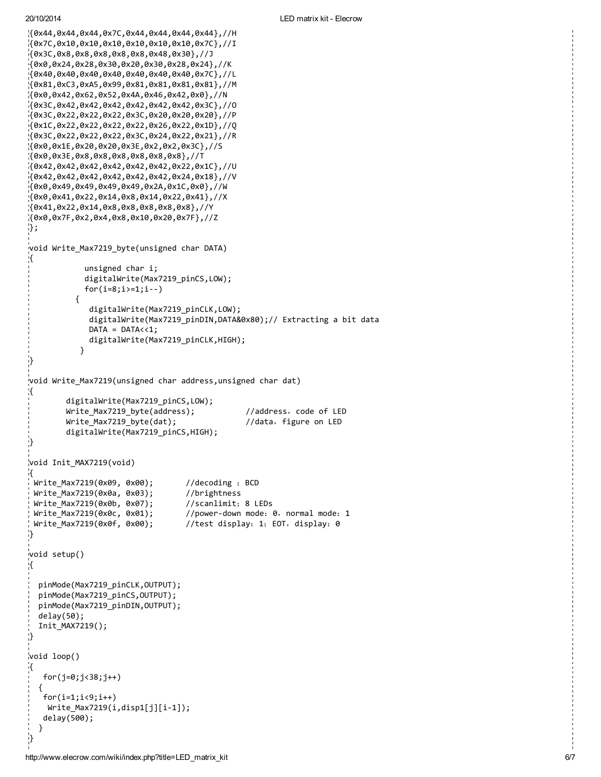20/10/2014

```
{
0
x
4
4
,
0
x
4
4
,
0
x
4
4
,
0
x
7
C
,
0
x
4
4
,
0
x
4
4
,
0
x
4
4
,
0
x
4
4
}
,
/
/
H
{0x7C,0x10,0x10,0x10,0x10,0x10,0x7C},//I
{
0
x
3
C
,
0
x
8
,
0
x
8
,
0
x
8
,
0
x
8
,
0
x
8
,
0
x
4
8
,
0
x
3
0
}
,
/
/
J
{0x0,0x24,0x28,0x30,0x20,0x30,0x28,0x24},//K
{0x40,0x40,0x40,0x40,0x40,0x40,0x7C},//L
{0x81,0xC3,0xA5,0x99,0x81,0x81,0x81,0x81},0x81}
{
0
x
0
,
0
x
4
2
,
0
x
6
2
,
0
x
5
2
,
0
x
4
A
,
0
x
4
6
,
0
x
4
2
,
0
x
0
}
,
/
/
N
{
0
x
3
C
,
0
x
4
2
,
0
x
4
2
,
0
x
4
2
,
0
x
4
2
,
0
x
4
2
,
0
x
4
2
,
0
x
3
C
}
,
/
/
O
{0x3C,0x22,0x22,0x22,0x3C,0x20,0x20,0x20},//P
{0x1C,0x22,0x22,0x22,0x22,0x26,0x22,0x1D},//Q
{0x3C,0x22,0x22,0x22,0x3C,0x24,0x22,0x21},//R
{
0
x
0
,
0
x
1
E
,
0
x
2
0
,
0
x
2
0
,
0
x
3
E
,
0
x
2
,
0
x
2
,
0
x
3
C
}
,
/
/
S
{
0
x
0
,
0
x
3
E
,
0
x
8
,
0
x
8
,
0
x
8
,
0
x
8
,
0
x
8
,
0
x
8
}
,
/
/
T
{0x42,0x42,0x42,0x42,0x42,0x22,0x1C},//U
{0x42,0x42,0x42,0x42,0x42,0x24,0x18},//V
{
0
x
0
,
0
x
4
9
,
0
x
4
9
,
0
x
4
9
,
0
x
4
9
,
0
x
2
A
,
0
x
1
C
,
0
x
0
}
,
/
/
W
{
0
x
0
,
0
x
4
1
,
0
x
2
2
,
0
x
1
4
,
0
x
8
,
0
x
1
4
,
0
x
2
2
,
0
x
4
1
}
,
/
/
X
{
0
x
4
1
,
0
x
2
2
,
0
x
1
4
,
0
x
8
,
0
x
8
,
0
x
8
,
0
x
8
,
0
x
8
}
,
/
/
Y
{
0
x
0
,
0
x
7
F
,
0
x
2
,
0
x
4
,
0
x
8
,
0
x
1
0
,
0
x
2
0
,
0
x
7
F
}
,
/
/
Z
}
;
void Write_Max7219_byte(unsigned char DATA)
\mathfrak{c}unsigned char i;
                digitalWrite(Max7219_pinCS,LOW);
                for(i=8; i>=1; i--)
             {
                 digitalWrite(Max7219_pinCLK,LOW);
                 digitalWrite(Max7219_pinDIN,DATA&0x80);// Extracting a bit data
                 DATA = DATA << 1;digitalWrite(Max7219_pinCLK,HIGH);
              }
}<br>v
  oid Write_Max7219(unsigned char address, unsigned char dat)
{
           digitalWrite(Max7219_pinCS,LOW);
           Write_Max7219_byte(address);
                                                             //address, code of LED
           Write_Max7219_byte(dat);
                                                             //data, figure on LED
           digitalWrite(Max7219_pinCS,HIGH);
}<br>v
  oid Init_MAX7219(void)
{
  Write_Max7219(0x09, 0x00);
                                            //decoding : BCD
  Write_Max7219(0x0a, 0x03);
                                            //brightness
  Write_Max7219(0x0b, 0x07);
                                            //scanlimit; 8 LEDs
  Write_Max7219(0x0c, 0x01);
                                            //power-down mode: 0, normal mode: 1
  Write_Max7219(0x0f, 0x00);
                                            //test display: 1; EOT, display: 0
}<br>v
  oid setup()
{
   pinMode(Max7219_pinCLK,OUTPUT);
   pinMode(Max7219_pinCS,OUTPUT);
   pinMode(Max7219_pinDIN,OUTPUT);
   d
e
l
a
y
(
5
0
)
;
   Init_MAX7219();
}<br>v
  oid loop()
{
    for(j=0;j<38;j++)
   {
    f
o
r
(
i
=
1
;
i
<
9
;
i
+
+
)
     Write_Max7219(i,disp1[j][i-1]);
    d
e
l
a
y
(
5
0
0
)
;
  }
}
```